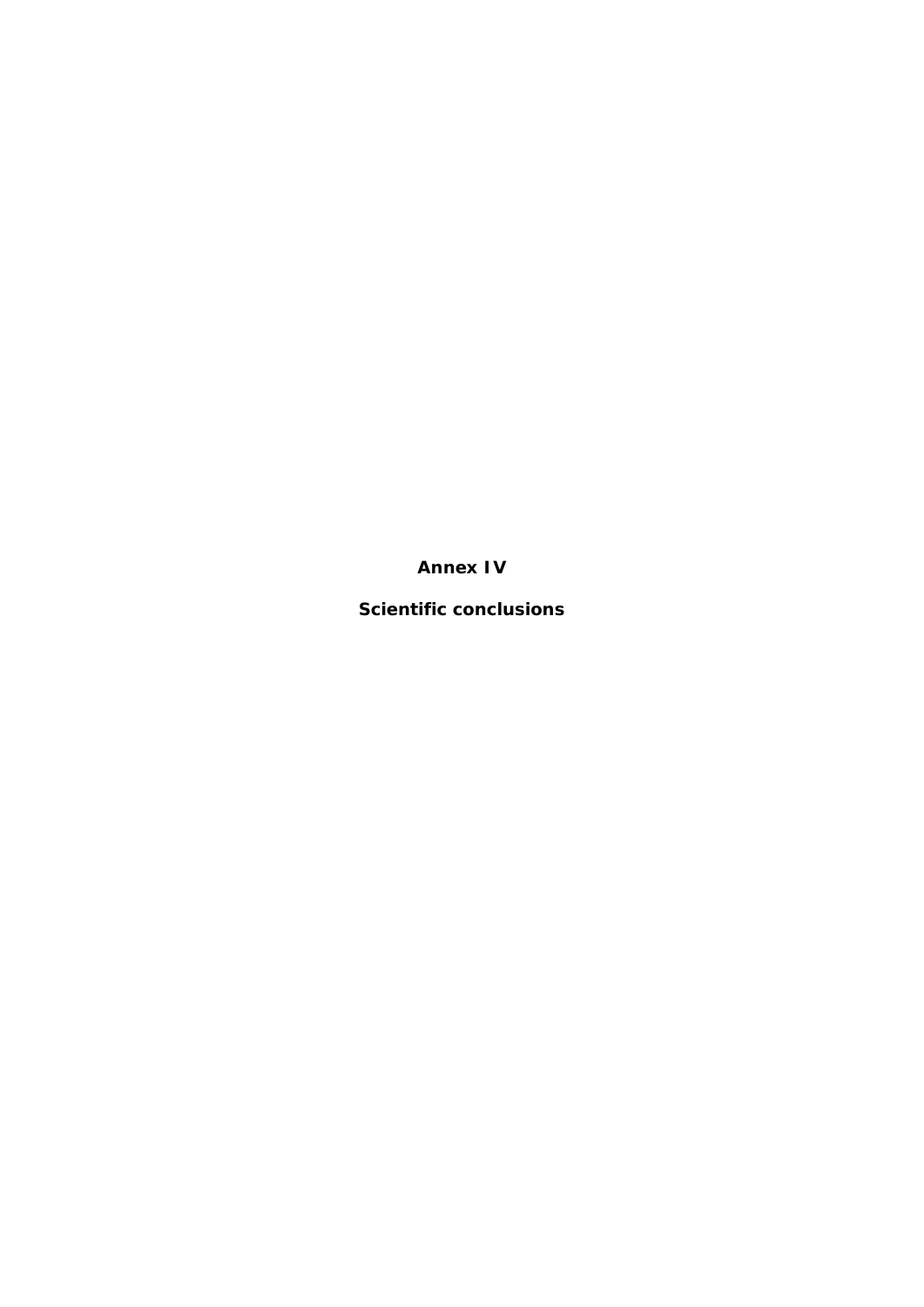**Annex IV**

**Scientific conclusions**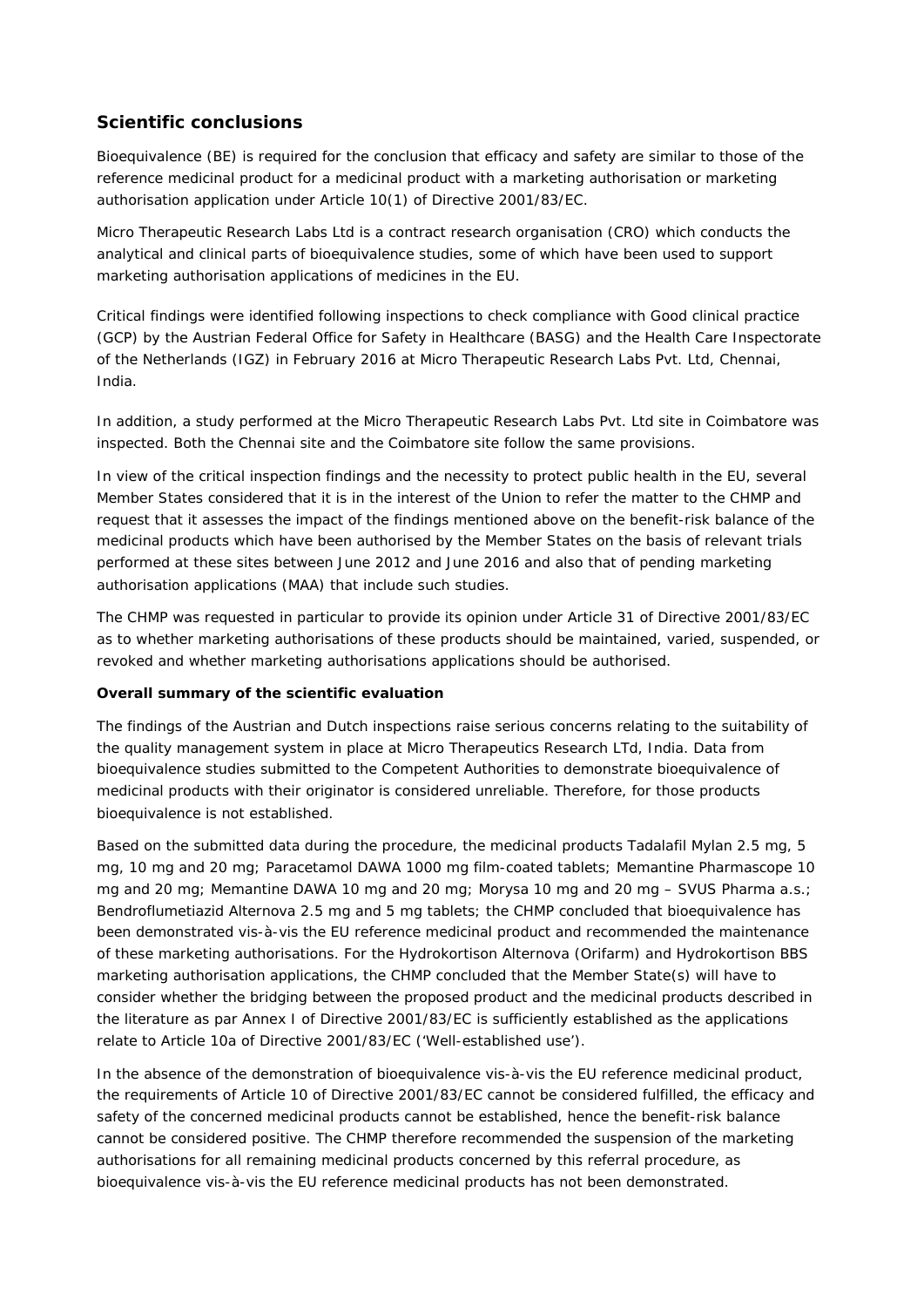## **Scientific conclusions**

Bioequivalence (BE) is required for the conclusion that efficacy and safety are similar to those of the reference medicinal product for a medicinal product with a marketing authorisation or marketing authorisation application under Article 10(1) of Directive 2001/83/EC.

Micro Therapeutic Research Labs Ltd is a contract research organisation (CRO) which conducts the analytical and clinical parts of bioequivalence studies, some of which have been used to support marketing authorisation applications of medicines in the EU.

Critical findings were identified following inspections to check compliance with Good clinical practice (GCP) by the Austrian Federal Office for Safety in Healthcare (BASG) and the Health Care Inspectorate of the Netherlands (IGZ) in February 2016 at Micro Therapeutic Research Labs Pvt. Ltd, Chennai, India.

In addition, a study performed at the Micro Therapeutic Research Labs Pvt. Ltd site in Coimbatore was inspected. Both the Chennai site and the Coimbatore site follow the same provisions.

In view of the critical inspection findings and the necessity to protect public health in the EU, several Member States considered that it is in the interest of the Union to refer the matter to the CHMP and request that it assesses the impact of the findings mentioned above on the benefit-risk balance of the medicinal products which have been authorised by the Member States on the basis of relevant trials performed at these sites between June 2012 and June 2016 and also that of pending marketing authorisation applications (MAA) that include such studies.

The CHMP was requested in particular to provide its opinion under Article 31 of Directive 2001/83/EC as to whether marketing authorisations of these products should be maintained, varied, suspended, or revoked and whether marketing authorisations applications should be authorised.

## **Overall summary of the scientific evaluation**

The findings of the Austrian and Dutch inspections raise serious concerns relating to the suitability of the quality management system in place at Micro Therapeutics Research LTd, India. Data from bioequivalence studies submitted to the Competent Authorities to demonstrate bioequivalence of medicinal products with their originator is considered unreliable. Therefore, for those products bioequivalence is not established.

Based on the submitted data during the procedure, the medicinal products Tadalafil Mylan 2.5 mg, 5 mg, 10 mg and 20 mg; Paracetamol DAWA 1000 mg film-coated tablets; Memantine Pharmascope 10 mg and 20 mg; Memantine DAWA 10 mg and 20 mg; Morysa 10 mg and 20 mg – SVUS Pharma a.s.; Bendroflumetiazid Alternova 2.5 mg and 5 mg tablets; the CHMP concluded that bioequivalence has been demonstrated vis-à-vis the EU reference medicinal product and recommended the maintenance of these marketing authorisations. For the Hydrokortison Alternova (Orifarm) and Hydrokortison BBS marketing authorisation applications, the CHMP concluded that the Member State(s) will have to consider whether the bridging between the proposed product and the medicinal products described in the literature as par Annex I of Directive 2001/83/EC is sufficiently established as the applications relate to Article 10a of Directive 2001/83/EC ('Well-established use').

In the absence of the demonstration of bioequivalence vis-à-vis the EU reference medicinal product, the requirements of Article 10 of Directive 2001/83/EC cannot be considered fulfilled, the efficacy and safety of the concerned medicinal products cannot be established, hence the benefit-risk balance cannot be considered positive. The CHMP therefore recommended the suspension of the marketing authorisations for all remaining medicinal products concerned by this referral procedure, as bioequivalence vis-à-vis the EU reference medicinal products has not been demonstrated.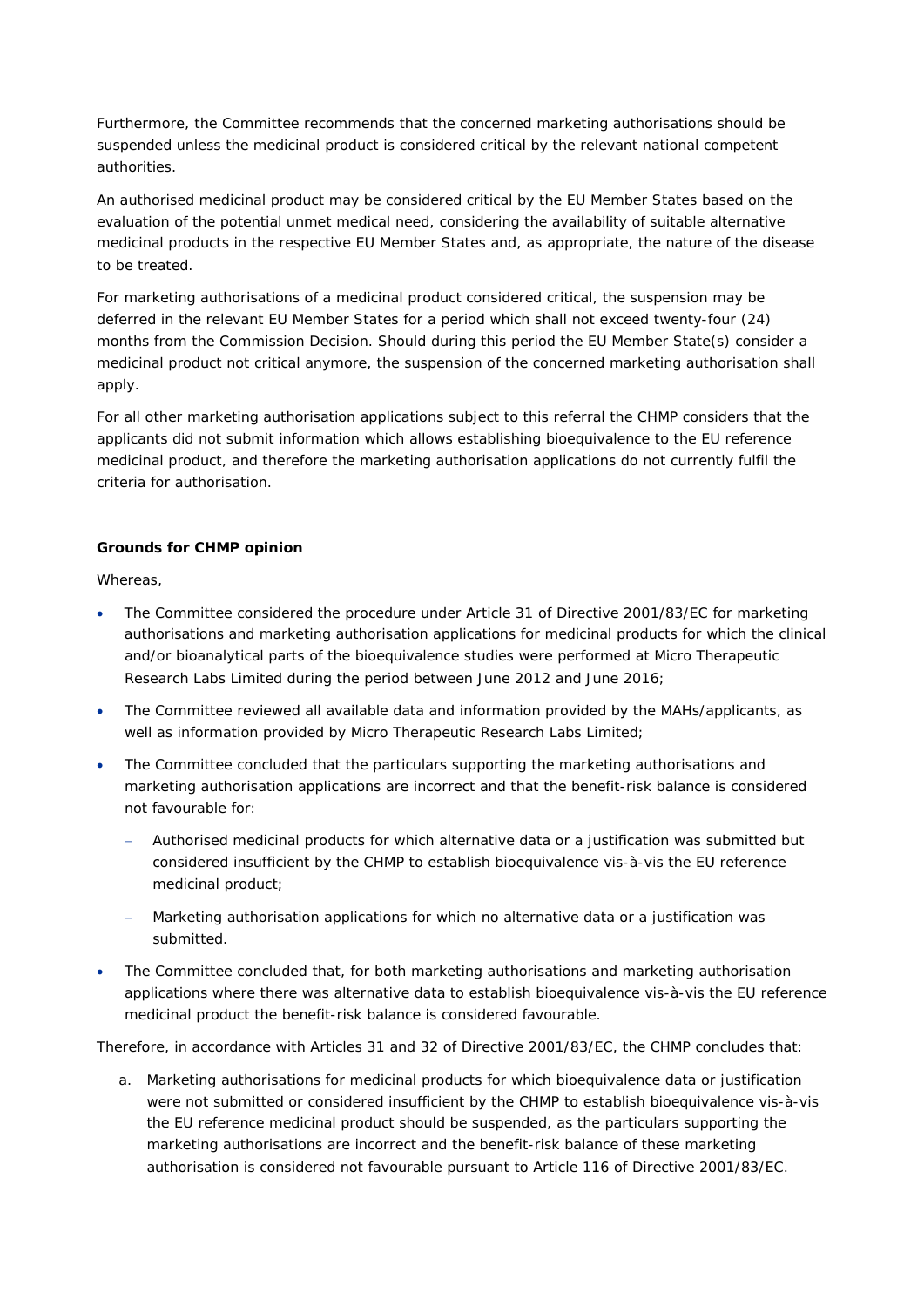Furthermore, the Committee recommends that the concerned marketing authorisations should be suspended unless the medicinal product is considered critical by the relevant national competent authorities.

An authorised medicinal product may be considered critical by the EU Member States based on the evaluation of the potential unmet medical need, considering the availability of suitable alternative medicinal products in the respective EU Member States and, as appropriate, the nature of the disease to be treated.

For marketing authorisations of a medicinal product considered critical, the suspension may be deferred in the relevant EU Member States for a period which shall not exceed twenty-four (24) months from the Commission Decision. Should during this period the EU Member State(s) consider a medicinal product not critical anymore, the suspension of the concerned marketing authorisation shall apply.

For all other marketing authorisation applications subject to this referral the CHMP considers that the applicants did not submit information which allows establishing bioequivalence to the EU reference medicinal product, and therefore the marketing authorisation applications do not currently fulfil the criteria for authorisation.

## **Grounds for CHMP opinion**

Whereas,

- The Committee considered the procedure under Article 31 of Directive 2001/83/EC for marketing authorisations and marketing authorisation applications for medicinal products for which the clinical and/or bioanalytical parts of the bioequivalence studies were performed at Micro Therapeutic Research Labs Limited during the period between June 2012 and June 2016;
- The Committee reviewed all available data and information provided by the MAHs/applicants, as well as information provided by Micro Therapeutic Research Labs Limited;
- The Committee concluded that the particulars supporting the marketing authorisations and marketing authorisation applications are incorrect and that the benefit-risk balance is considered not favourable for:
	- − Authorised medicinal products for which alternative data or a justification was submitted but considered insufficient by the CHMP to establish bioequivalence vis-à-vis the EU reference medicinal product;
	- − Marketing authorisation applications for which no alternative data or a justification was submitted.
- The Committee concluded that, for both marketing authorisations and marketing authorisation applications where there was alternative data to establish bioequivalence vis-à-vis the EU reference medicinal product the benefit-risk balance is considered favourable.

Therefore, in accordance with Articles 31 and 32 of Directive 2001/83/EC, the CHMP concludes that:

a. Marketing authorisations for medicinal products for which bioequivalence data or justification were not submitted or considered insufficient by the CHMP to establish bioequivalence vis-à-vis the EU reference medicinal product should be suspended, as the particulars supporting the marketing authorisations are incorrect and the benefit-risk balance of these marketing authorisation is considered not favourable pursuant to Article 116 of Directive 2001/83/EC.